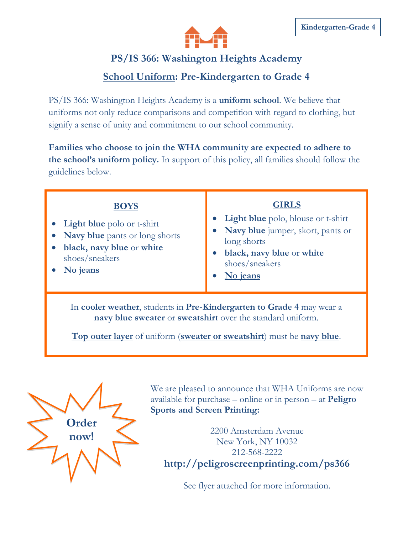

## **PS/IS 366: Washington Heights Academy**

## **School Uniform: Pre-Kindergarten to Grade 4**

PS/IS 366: Washington Heights Academy is a **uniform school**. We believe that uniforms not only reduce comparisons and competition with regard to clothing, but signify a sense of unity and commitment to our school community.

**Families who choose to join the WHA community are expected to adhere to the school's uniform policy.** In support of this policy, all families should follow the guidelines below.

| <b>BOYS</b><br><b>Light blue</b> polo or t-shirt<br>Navy blue pants or long shorts<br>black, navy blue or white<br>shoes/sneakers<br>No jeans                                                                | <b>GIRLS</b><br>• Light blue polo, blouse or t-shirt<br>• Navy blue jumper, skort, pants or<br>long shorts<br>black, navy blue or white<br>shoes/sneakers<br>No jeans |
|--------------------------------------------------------------------------------------------------------------------------------------------------------------------------------------------------------------|-----------------------------------------------------------------------------------------------------------------------------------------------------------------------|
| In cooler weather, students in Pre-Kindergarten to Grade 4 may wear a<br>navy blue sweater or sweatshirt over the standard uniform.<br>Top outer layer of uniform (sweater or sweatshirt) must be navy blue. |                                                                                                                                                                       |



We are pleased to announce that WHA Uniforms are now available for purchase – online or in person – at **Peligro Sports and Screen Printing:** 

2200 Amsterdam Avenue New York, NY 10032 212-568-2222 **http://peligroscreenprinting.com/ps366**

See flyer attached for more information.